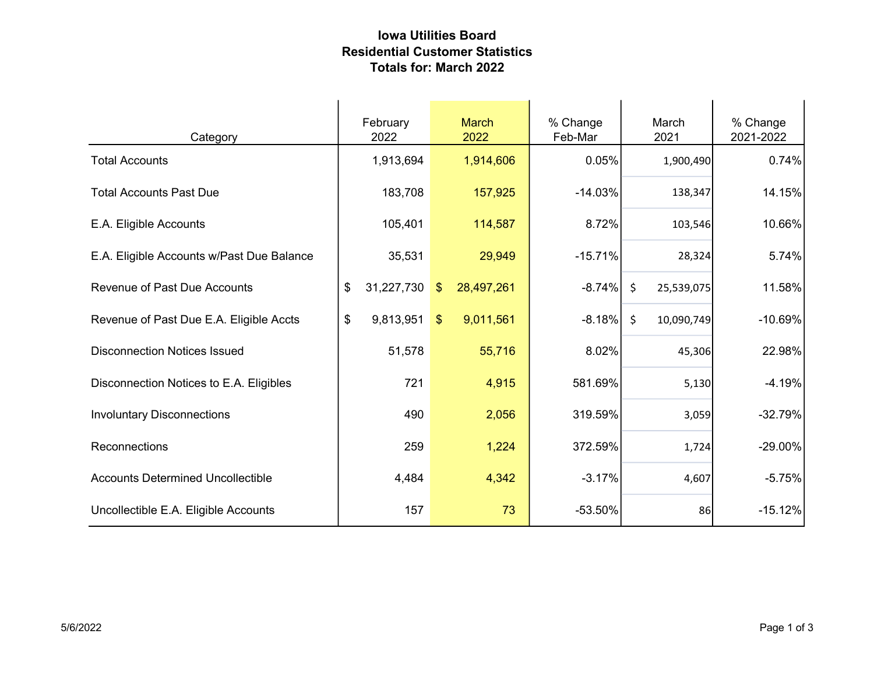## Iowa Utilities Board Residential Customer Statistics Totals for: March 2022

| Category                                  | February<br>2022 | <b>March</b><br>2022        | % Change<br>Feb-Mar | March<br>2021                     | % Change<br>2021-2022 |
|-------------------------------------------|------------------|-----------------------------|---------------------|-----------------------------------|-----------------------|
| <b>Total Accounts</b>                     | 1,913,694        | 1,914,606                   | 0.05%               | 1,900,490                         | 0.74%                 |
| <b>Total Accounts Past Due</b>            | 183,708          | 157,925                     | $-14.03%$           | 138,347                           | 14.15%                |
| E.A. Eligible Accounts                    | 105,401          | 114,587                     | 8.72%               | 103,546                           | 10.66%                |
| E.A. Eligible Accounts w/Past Due Balance | 35,531           | 29,949                      | $-15.71%$           | 28,324                            | 5.74%                 |
| <b>Revenue of Past Due Accounts</b>       | 31,227,730<br>\$ | 28,497,261<br>$\sqrt[6]{3}$ | $-8.74%$            | $\ddot{\varsigma}$<br>25,539,075  | 11.58%                |
| Revenue of Past Due E.A. Eligible Accts   | \$<br>9,813,951  | 9,011,561<br>$$^{\circ}$    | $-8.18\%$           | 10,090,749<br>$\ddot{\mathsf{S}}$ | $-10.69%$             |
| <b>Disconnection Notices Issued</b>       | 51,578           | 55,716                      | 8.02%               | 45,306                            | 22.98%                |
| Disconnection Notices to E.A. Eligibles   | 721              | 4,915                       | 581.69%             | 5,130                             | $-4.19%$              |
| <b>Involuntary Disconnections</b>         | 490              | 2,056                       | 319.59%             | 3,059                             | $-32.79%$             |
| Reconnections                             | 259              | 1,224                       | 372.59%             | 1,724                             | $-29.00\%$            |
| <b>Accounts Determined Uncollectible</b>  | 4,484            | 4,342                       | $-3.17%$            | 4,607                             | $-5.75%$              |
| Uncollectible E.A. Eligible Accounts      | 157              | 73                          | $-53.50%$           | 86                                | $-15.12%$             |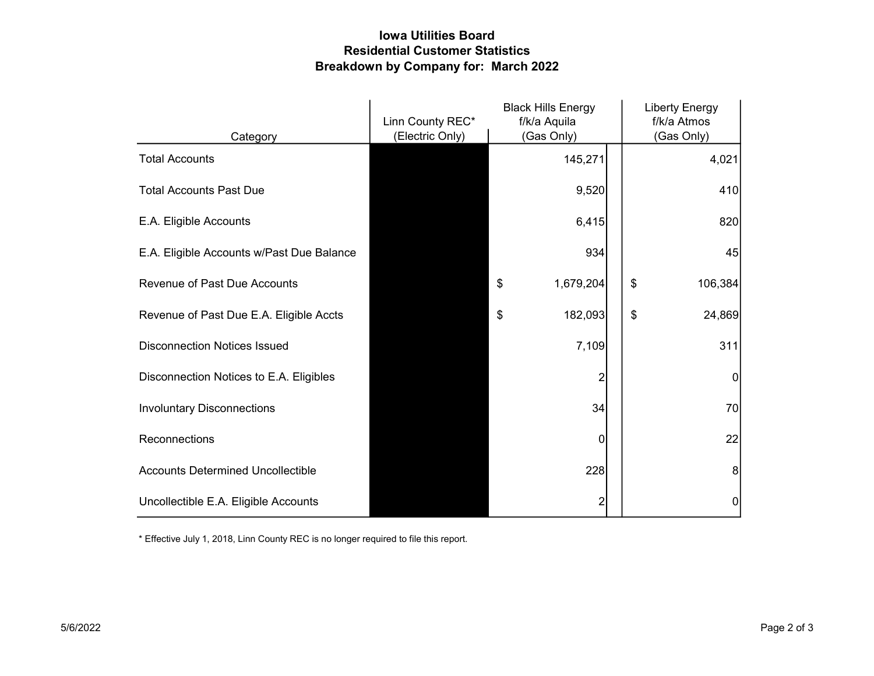## Iowa Utilities Board Residential Customer Statistics Breakdown by Company for: March 2022

|                                           | Linn County REC* | <b>Black Hills Energy</b><br>f/k/a Aquila |    | <b>Liberty Energy</b><br>f/k/a Atmos |
|-------------------------------------------|------------------|-------------------------------------------|----|--------------------------------------|
| Category                                  | (Electric Only)  | (Gas Only)                                |    | (Gas Only)                           |
| <b>Total Accounts</b>                     |                  | 145,271                                   |    | 4,021                                |
| <b>Total Accounts Past Due</b>            |                  | 9,520                                     |    | 410                                  |
| E.A. Eligible Accounts                    |                  | 6,415                                     |    | 820                                  |
| E.A. Eligible Accounts w/Past Due Balance |                  | 934                                       |    | 45                                   |
| <b>Revenue of Past Due Accounts</b>       |                  | \$<br>1,679,204                           | \$ | 106,384                              |
| Revenue of Past Due E.A. Eligible Accts   |                  | 182,093<br>\$                             | \$ | 24,869                               |
| <b>Disconnection Notices Issued</b>       |                  | 7,109                                     |    | 311                                  |
| Disconnection Notices to E.A. Eligibles   |                  | 2                                         |    | 0                                    |
| <b>Involuntary Disconnections</b>         |                  | 34                                        |    | 70                                   |
| Reconnections                             |                  | 0                                         |    | 22                                   |
| <b>Accounts Determined Uncollectible</b>  |                  | 228                                       |    | 8                                    |
| Uncollectible E.A. Eligible Accounts      |                  | 2                                         |    | 0                                    |

\* Effective July 1, 2018, Linn County REC is no longer required to file this report.